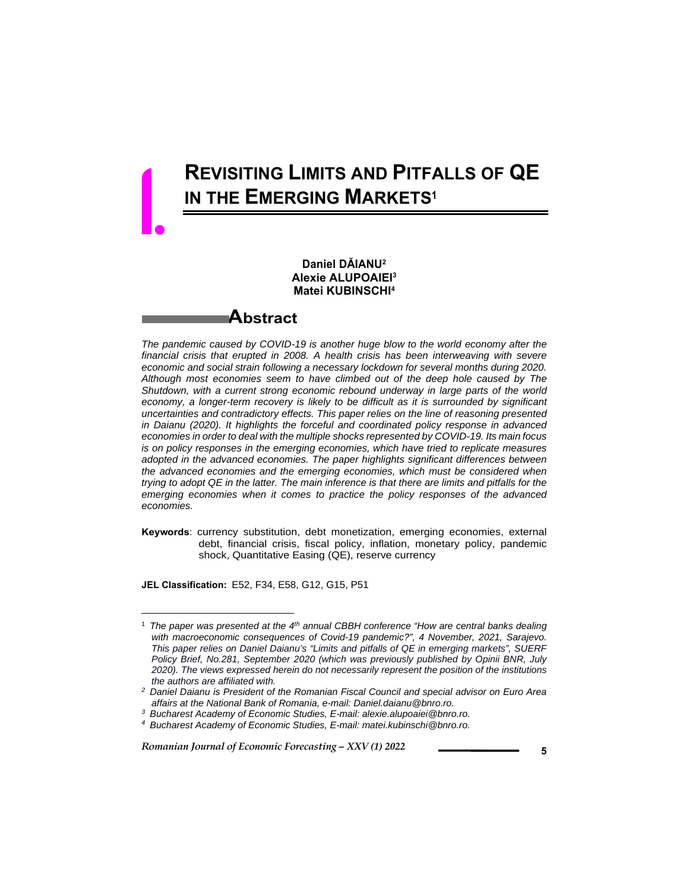# **REVISITING LIMITS AND PITFALLS OF QE IN THE EMERGING MARKETS<sup>1</sup>**

#### **Daniel DĂIANU2 Alexie ALUPOAIEI3 Matei KUBINSCHI4**

### **Abstract**

*The pandemic caused by COVID-19 is another huge blow to the world economy after the financial crisis that erupted in 2008. A health crisis has been interweaving with severe economic and social strain following a necessary lockdown for several months during 2020. Although most economies seem to have climbed out of the deep hole caused by The Shutdown, with a current strong economic rebound underway in large parts of the world*  economy, a longer-term recovery is likely to be difficult as it is surrounded by significant *uncertainties and contradictory effects. This paper relies on the line of reasoning presented in Daianu (2020). It highlights the forceful and coordinated policy response in advanced economies in order to deal with the multiple shocks represented by COVID-19. Its main focus is on policy responses in the emerging economies, which have tried to replicate measures adopted in the advanced economies. The paper highlights significant differences between the advanced economies and the emerging economies, which must be considered when trying to adopt QE in the latter. The main inference is that there are limits and pitfalls for the emerging economies when it comes to practice the policy responses of the advanced economies.* 

**Keywords**: currency substitution, debt monetization, emerging economies, external debt, financial crisis, fiscal policy, inflation, monetary policy, pandemic shock, Quantitative Easing (QE), reserve currency

**JEL Classification:** E52, F34, E58, G12, G15, P51

l

1.

<sup>1</sup> *The paper was presented at the 4th annual CBBH conference "How are central banks dealing with macroeconomic consequences of Covid-19 pandemic?", 4 November, 2021, Sarajevo. This paper relies on Daniel Daianu's "Limits and pitfalls of QE in emerging markets", SUERF Policy Brief, No.281, September 2020 (which was previously published by Opinii BNR, July 2020). The views expressed herein do not necessarily represent the position of the institutions the authors are affiliated with.*

*<sup>2</sup> Daniel Daianu is President of the Romanian Fiscal Council and special advisor on Euro Area affairs at the National Bank of Romania, e-mail: Daniel.daianu@bnro.ro.*

*<sup>3</sup> Bucharest Academy of Economic Studies, E-mail: alexie.alupoaiei@bnro.ro.*

*<sup>4</sup> Bucharest Academy of Economic Studies, E-mail: matei.kubinschi@bnro.ro.*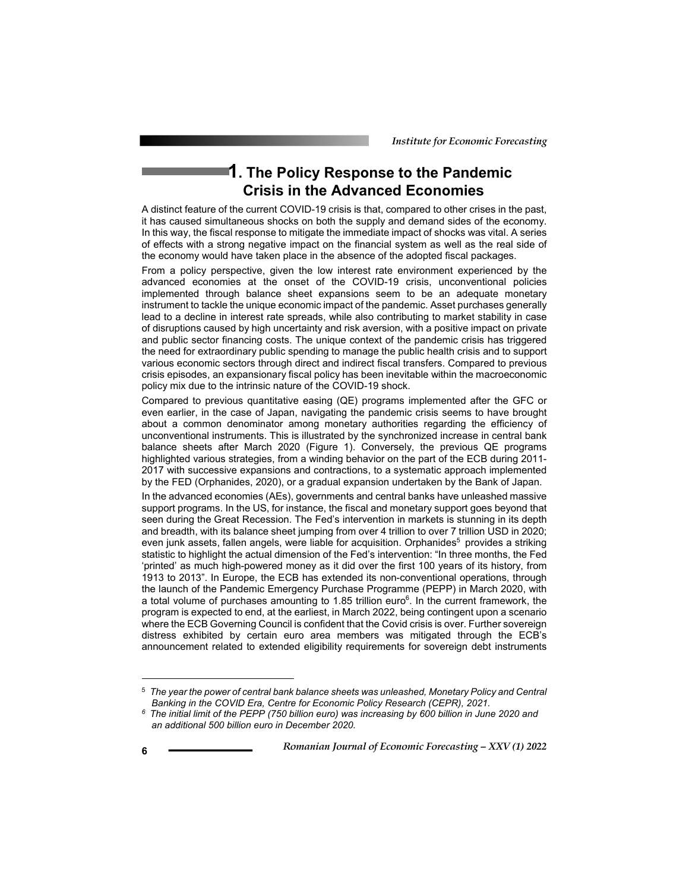# **1. The Policy Response to the Pandemic Crisis in the Advanced Economies**

A distinct feature of the current COVID-19 crisis is that, compared to other crises in the past, it has caused simultaneous shocks on both the supply and demand sides of the economy. In this way, the fiscal response to mitigate the immediate impact of shocks was vital. A series of effects with a strong negative impact on the financial system as well as the real side of the economy would have taken place in the absence of the adopted fiscal packages.

From a policy perspective, given the low interest rate environment experienced by the advanced economies at the onset of the COVID-19 crisis, unconventional policies implemented through balance sheet expansions seem to be an adequate monetary instrument to tackle the unique economic impact of the pandemic. Asset purchases generally lead to a decline in interest rate spreads, while also contributing to market stability in case of disruptions caused by high uncertainty and risk aversion, with a positive impact on private and public sector financing costs. The unique context of the pandemic crisis has triggered the need for extraordinary public spending to manage the public health crisis and to support various economic sectors through direct and indirect fiscal transfers. Compared to previous crisis episodes, an expansionary fiscal policy has been inevitable within the macroeconomic policy mix due to the intrinsic nature of the COVID-19 shock.

Compared to previous quantitative easing (QE) programs implemented after the GFC or even earlier, in the case of Japan, navigating the pandemic crisis seems to have brought about a common denominator among monetary authorities regarding the efficiency of unconventional instruments. This is illustrated by the synchronized increase in central bank balance sheets after March 2020 (Figure 1). Conversely, the previous QE programs highlighted various strategies, from a winding behavior on the part of the ECB during 2011- 2017 with successive expansions and contractions, to a systematic approach implemented by the FED (Orphanides, 2020), or a gradual expansion undertaken by the Bank of Japan.

In the advanced economies (AEs), governments and central banks have unleashed massive support programs. In the US, for instance, the fiscal and monetary support goes beyond that seen during the Great Recession. The Fed's intervention in markets is stunning in its depth and breadth, with its balance sheet jumping from over 4 trillion to over 7 trillion USD in 2020; even junk assets, fallen angels, were liable for acquisition. Orphanides<sup>5</sup> provides a striking statistic to highlight the actual dimension of the Fed's intervention: "In three months, the Fed 'printed' as much high-powered money as it did over the first 100 years of its history, from 1913 to 2013". In Europe, the ECB has extended its non-conventional operations, through the launch of the Pandemic Emergency Purchase Programme (PEPP) in March 2020, with a total volume of purchases amounting to 1.85 trillion euro<sup>6</sup>. In the current framework, the program is expected to end, at the earliest, in March 2022, being contingent upon a scenario where the ECB Governing Council is confident that the Covid crisis is over. Further sovereign distress exhibited by certain euro area members was mitigated through the ECB's announcement related to extended eligibility requirements for sovereign debt instruments

l

<sup>5</sup> *The year the power of central bank balance sheets was unleashed, Monetary Policy and Central* 

*Banking in the COVID Era, Centre for Economic Policy Research (CEPR), 2021. 6 The initial limit of the PEPP (750 billion euro) was increasing by 600 billion in June 2020 and an additional 500 billion euro in December 2020.*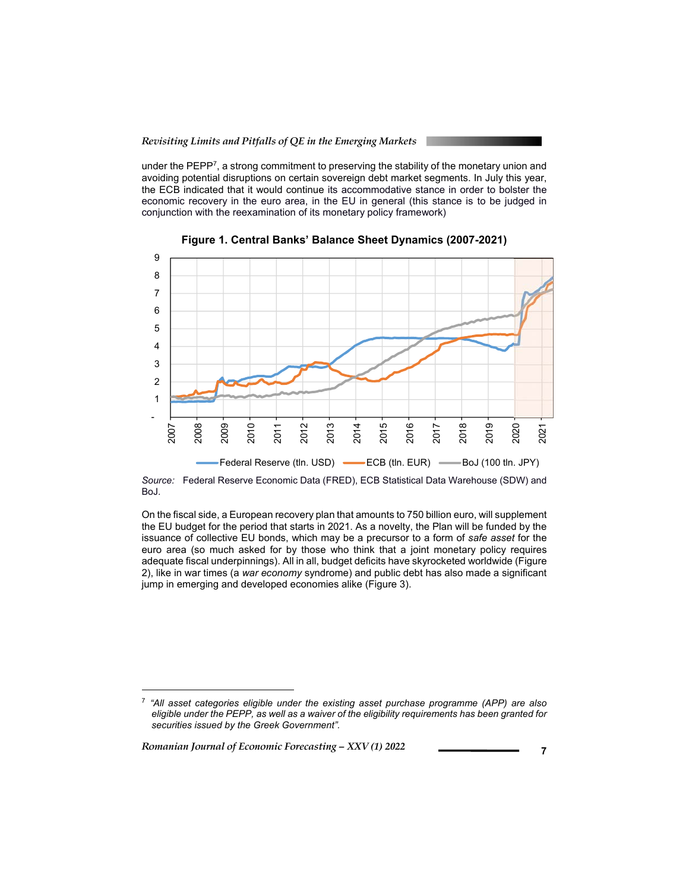under the PEPP<sup>7</sup>, a strong commitment to preserving the stability of the monetary union and avoiding potential disruptions on certain sovereign debt market segments. In July this year, the ECB indicated that it would continue its accommodative stance in order to bolster the economic recovery in the euro area, in the EU in general (this stance is to be judged in conjunction with the reexamination of its monetary policy framework)



**Figure 1. Central Banks' Balance Sheet Dynamics (2007-2021)** 

*Source:* Federal Reserve Economic Data (FRED), ECB Statistical Data Warehouse (SDW) and BoJ.

On the fiscal side, a European recovery plan that amounts to 750 billion euro, will supplement the EU budget for the period that starts in 2021. As a novelty, the Plan will be funded by the issuance of collective EU bonds, which may be a precursor to a form of *safe asset* for the euro area (so much asked for by those who think that a joint monetary policy requires adequate fiscal underpinnings). All in all, budget deficits have skyrocketed worldwide (Figure 2), like in war times (a *war economy* syndrome) and public debt has also made a significant jump in emerging and developed economies alike (Figure 3).

*Romanian Journal of Economic Forecasting – XXV (1) 2022* **<sup>7</sup>**

 $\overline{a}$ 

<sup>7</sup> *"All asset categories eligible under the existing asset purchase programme (APP) are also eligible under the PEPP, as well as a waiver of the eligibility requirements has been granted for securities issued by the Greek Government".*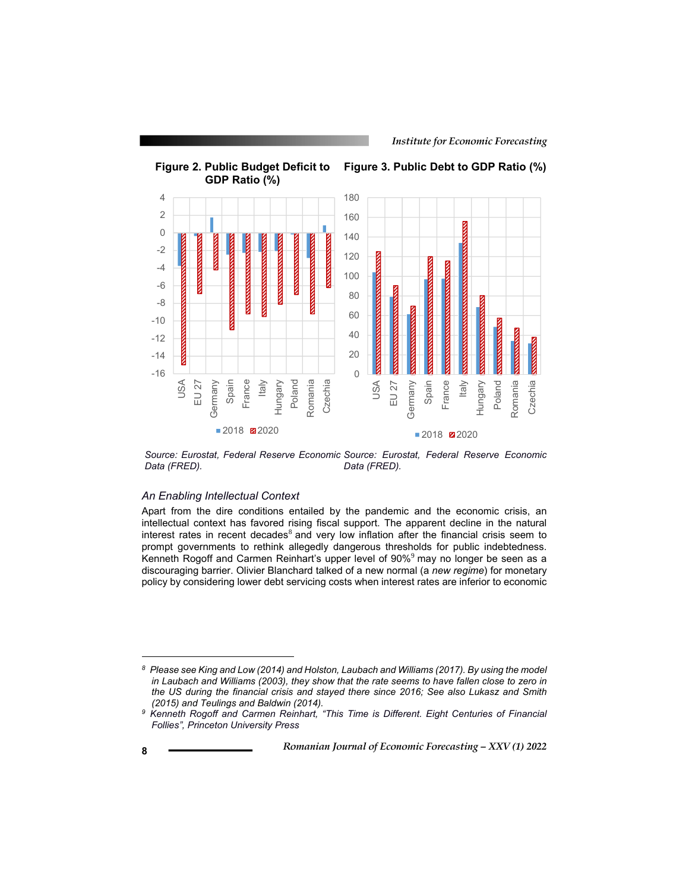*Institute for Economic Forecasting*



*Source: Eurostat, Federal Reserve Economic Source: Eurostat, Federal Reserve Economic Data (FRED). Data (FRED).* 

#### *An Enabling Intellectual Context*

Apart from the dire conditions entailed by the pandemic and the economic crisis, an intellectual context has favored rising fiscal support. The apparent decline in the natural interest rates in recent decades $8$  and very low inflation after the financial crisis seem to prompt governments to rethink allegedly dangerous thresholds for public indebtedness. Kenneth Rogoff and Carmen Reinhart's upper level of  $90\%$ <sup>9</sup> may no longer be seen as a discouraging barrier. Olivier Blanchard talked of a new normal (a *new regime*) for monetary policy by considering lower debt servicing costs when interest rates are inferior to economic

l

*<sup>8</sup> Please see King and Low (2014) and Holston, Laubach and Williams (2017). By using the model in Laubach and Williams (2003), they show that the rate seems to have fallen close to zero in the US during the financial crisis and stayed there since 2016; See also Lukasz and Smith (2015) and Teulings and Baldwin (2014).*

*<sup>9</sup> Kenneth Rogoff and Carmen Reinhart, "This Time is Different. Eight Centuries of Financial Follies", Princeton University Press*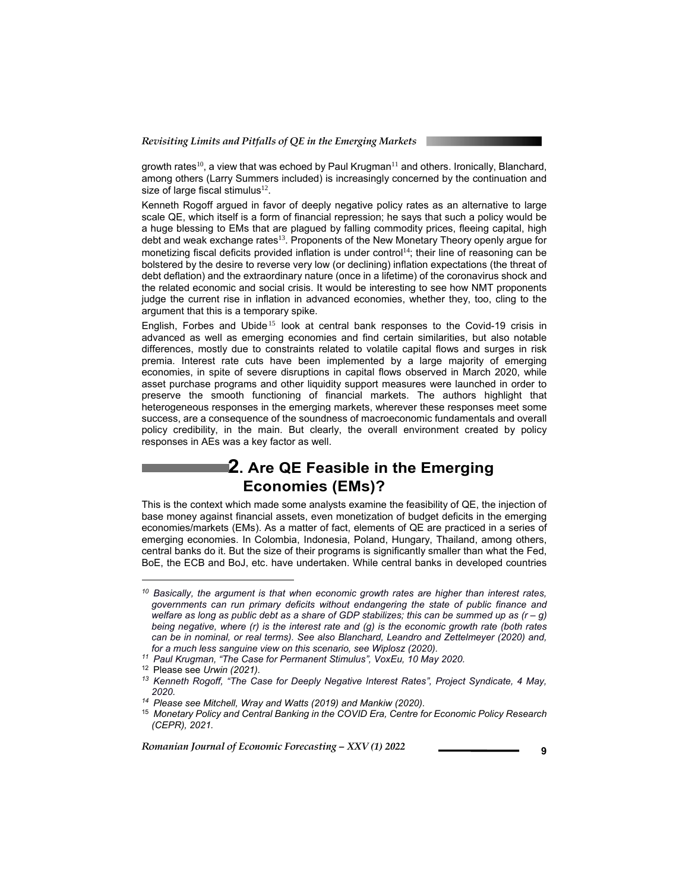growth rates<sup>10</sup>, a view that was echoed by Paul Krugman<sup>11</sup> and others. Ironically, Blanchard, among others (Larry Summers included) is increasingly concerned by the continuation and size of large fiscal stimulus $12$ .

Kenneth Rogoff argued in favor of deeply negative policy rates as an alternative to large scale QE, which itself is a form of financial repression; he says that such a policy would be a huge blessing to EMs that are plagued by falling commodity prices, fleeing capital, high debt and weak exchange rates<sup>13</sup>. Proponents of the New Monetary Theory openly argue for monetizing fiscal deficits provided inflation is under control<sup>14</sup>; their line of reasoning can be bolstered by the desire to reverse very low (or declining) inflation expectations (the threat of debt deflation) and the extraordinary nature (once in a lifetime) of the coronavirus shock and the related economic and social crisis. It would be interesting to see how NMT proponents judge the current rise in inflation in advanced economies, whether they, too, cling to the argument that this is a temporary spike.

English, Forbes and Ubide<sup>15</sup> look at central bank responses to the Covid-19 crisis in advanced as well as emerging economies and find certain similarities, but also notable differences, mostly due to constraints related to volatile capital flows and surges in risk premia. Interest rate cuts have been implemented by a large majority of emerging economies, in spite of severe disruptions in capital flows observed in March 2020, while asset purchase programs and other liquidity support measures were launched in order to preserve the smooth functioning of financial markets. The authors highlight that heterogeneous responses in the emerging markets, wherever these responses meet some success, are a consequence of the soundness of macroeconomic fundamentals and overall policy credibility, in the main. But clearly, the overall environment created by policy responses in AEs was a key factor as well.

## **2. Are QE Feasible in the Emerging Economies (EMs)?**

This is the context which made some analysts examine the feasibility of QE, the injection of base money against financial assets, even monetization of budget deficits in the emerging economies/markets (EMs). As a matter of fact, elements of QE are practiced in a series of emerging economies. In Colombia, Indonesia, Poland, Hungary, Thailand, among others, central banks do it. But the size of their programs is significantly smaller than what the Fed, BoE, the ECB and BoJ, etc. have undertaken. While central banks in developed countries

l

*<sup>10</sup> Basically, the argument is that when economic growth rates are higher than interest rates, governments can run primary deficits without endangering the state of public finance and welfare as long as public debt as a share of GDP stabilizes; this can be summed up as (r – g) being negative, where (r) is the interest rate and (g) is the economic growth rate (both rates can be in nominal, or real terms). See also Blanchard, Leandro and Zettelmeyer (2020) and,* 

<sup>&</sup>lt;sup>11</sup> Paul Krugman, "The Case for Permanent Stimulus", VoxEu, 10 May 2020. <br><sup>12</sup> Please see Urwin (2021).

<sup>&</sup>lt;sup>13</sup> Kenneth Rogoff, "The Case for Deeply Negative Interest Rates", Project Syndicate, 4 May, *2020. 14 Please see Mitchell, Wray and Watts (2019) and Mankiw (2020).*

<sup>15</sup> *Monetary Policy and Central Banking in the COVID Era, Centre for Economic Policy Research (CEPR), 2021.*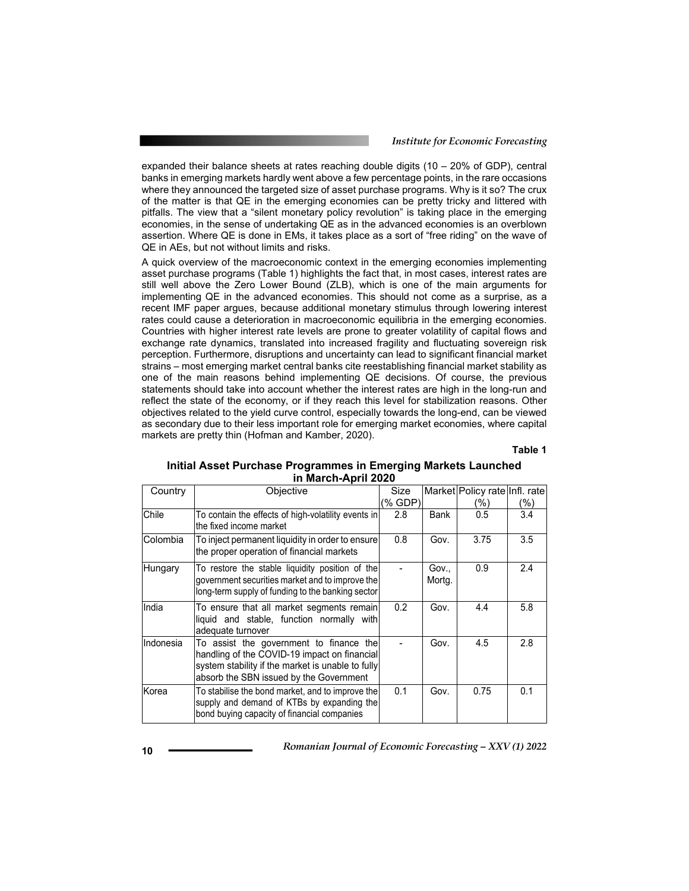*Institute for Economic Forecasting*

expanded their balance sheets at rates reaching double digits (10 – 20% of GDP), central banks in emerging markets hardly went above a few percentage points, in the rare occasions where they announced the targeted size of asset purchase programs. Why is it so? The crux of the matter is that QE in the emerging economies can be pretty tricky and littered with pitfalls. The view that a "silent monetary policy revolution" is taking place in the emerging economies, in the sense of undertaking QE as in the advanced economies is an overblown assertion. Where QE is done in EMs, it takes place as a sort of "free riding" on the wave of QE in AEs, but not without limits and risks.

A quick overview of the macroeconomic context in the emerging economies implementing asset purchase programs (Table 1) highlights the fact that, in most cases, interest rates are still well above the Zero Lower Bound (ZLB), which is one of the main arguments for implementing QE in the advanced economies. This should not come as a surprise, as a recent IMF paper argues, because additional monetary stimulus through lowering interest rates could cause a deterioration in macroeconomic equilibria in the emerging economies. Countries with higher interest rate levels are prone to greater volatility of capital flows and exchange rate dynamics, translated into increased fragility and fluctuating sovereign risk perception. Furthermore, disruptions and uncertainty can lead to significant financial market strains – most emerging market central banks cite reestablishing financial market stability as one of the main reasons behind implementing QE decisions. Of course, the previous statements should take into account whether the interest rates are high in the long-run and reflect the state of the economy, or if they reach this level for stabilization reasons. Other objectives related to the yield curve control, especially towards the long-end, can be viewed as secondary due to their less important role for emerging market economies, where capital markets are pretty thin (Hofman and Kamber, 2020).

**Table 1** 

#### **Initial Asset Purchase Programmes in Emerging Markets Launched in March-April 2020**

| Country   | Objective                                                                                                                                                                               | Size    |                 | Market Policy rate Infl. rate |         |
|-----------|-----------------------------------------------------------------------------------------------------------------------------------------------------------------------------------------|---------|-----------------|-------------------------------|---------|
|           |                                                                                                                                                                                         | (% GDP) |                 | (%)                           | $(\% )$ |
| Chile     | To contain the effects of high-volatility events in<br>the fixed income market                                                                                                          | 2.8     | Bank            | 0.5                           | 3.4     |
| Colombia  | To inject permanent liquidity in order to ensure<br>the proper operation of financial markets                                                                                           | 0.8     | Gov.            | 3.75                          | 3.5     |
| Hungary   | To restore the stable liquidity position of the<br>government securities market and to improve the<br>long-term supply of funding to the banking sector                                 |         | Gov.,<br>Mortg. | 0.9                           | 2.4     |
| India     | To ensure that all market segments remain<br>liquid and stable, function normally with<br>adequate turnover                                                                             | 0.2     | Gov.            | 4.4                           | 5.8     |
| Indonesia | To assist the government to finance the<br>handling of the COVID-19 impact on financial<br>system stability if the market is unable to fully<br>absorb the SBN issued by the Government |         | Gov.            | 4.5                           | 2.8     |
| Korea     | To stabilise the bond market, and to improve the<br>supply and demand of KTBs by expanding the<br>bond buying capacity of financial companies                                           | 0.1     | Gov.            | 0.75                          | 0.1     |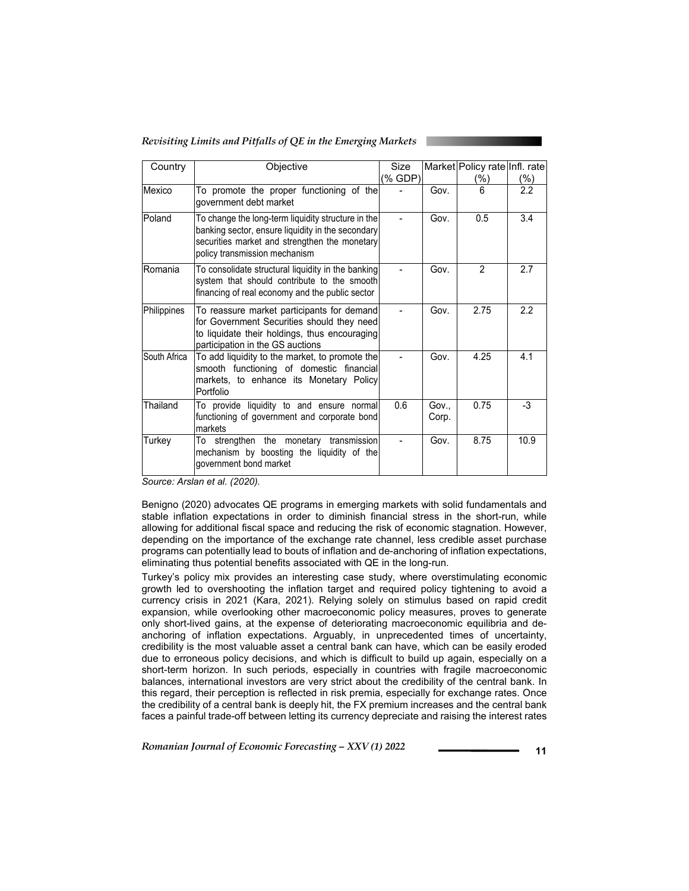*Revisiting Limits and Pitfalls of QE in the Emerging Markets* 

| Country      | Objective                                                                                                                                                                                 | Size<br>(% GDP) |              | Market Policy rate Infl. rate<br>(%) | $(\%)$ |
|--------------|-------------------------------------------------------------------------------------------------------------------------------------------------------------------------------------------|-----------------|--------------|--------------------------------------|--------|
| Mexico       | To promote the proper functioning of the<br>government debt market                                                                                                                        |                 | Gov.         | 6                                    | 2.2    |
| Poland       | To change the long-term liquidity structure in the<br>banking sector, ensure liquidity in the secondary<br>securities market and strengthen the monetary<br>policy transmission mechanism |                 | Gov.         | 0.5                                  | 3.4    |
| Romania      | To consolidate structural liquidity in the banking<br>system that should contribute to the smooth<br>financing of real economy and the public sector                                      |                 | Gov.         | 2                                    | 2.7    |
| Philippines  | To reassure market participants for demand<br>for Government Securities should they need<br>to liquidate their holdings, thus encouraging<br>participation in the GS auctions             |                 | Gov.         | 2.75                                 | 2.2    |
| South Africa | To add liquidity to the market, to promote the<br>smooth functioning of domestic financial<br>markets, to enhance its Monetary Policy<br>Portfolio                                        |                 | Gov.         | 4.25                                 | 4.1    |
| Thailand     | To provide liquidity to and ensure normal<br>functioning of government and corporate bond<br>markets                                                                                      | 0.6             | Gov<br>Corp. | 0.75                                 | -3     |
| Turkey       | To strengthen the monetary transmission<br>mechanism by boosting the liquidity of the<br>government bond market                                                                           |                 | Gov.         | 8.75                                 | 10.9   |

*Source: Arslan et al. (2020).* 

Benigno (2020) advocates QE programs in emerging markets with solid fundamentals and stable inflation expectations in order to diminish financial stress in the short-run, while allowing for additional fiscal space and reducing the risk of economic stagnation. However, depending on the importance of the exchange rate channel, less credible asset purchase programs can potentially lead to bouts of inflation and de-anchoring of inflation expectations, eliminating thus potential benefits associated with QE in the long-run.

Turkey's policy mix provides an interesting case study, where overstimulating economic growth led to overshooting the inflation target and required policy tightening to avoid a currency crisis in 2021 (Kara, 2021). Relying solely on stimulus based on rapid credit expansion, while overlooking other macroeconomic policy measures, proves to generate only short-lived gains, at the expense of deteriorating macroeconomic equilibria and deanchoring of inflation expectations. Arguably, in unprecedented times of uncertainty, credibility is the most valuable asset a central bank can have, which can be easily eroded due to erroneous policy decisions, and which is difficult to build up again, especially on a short-term horizon. In such periods, especially in countries with fragile macroeconomic balances, international investors are very strict about the credibility of the central bank. In this regard, their perception is reflected in risk premia, especially for exchange rates. Once the credibility of a central bank is deeply hit, the FX premium increases and the central bank faces a painful trade-off between letting its currency depreciate and raising the interest rates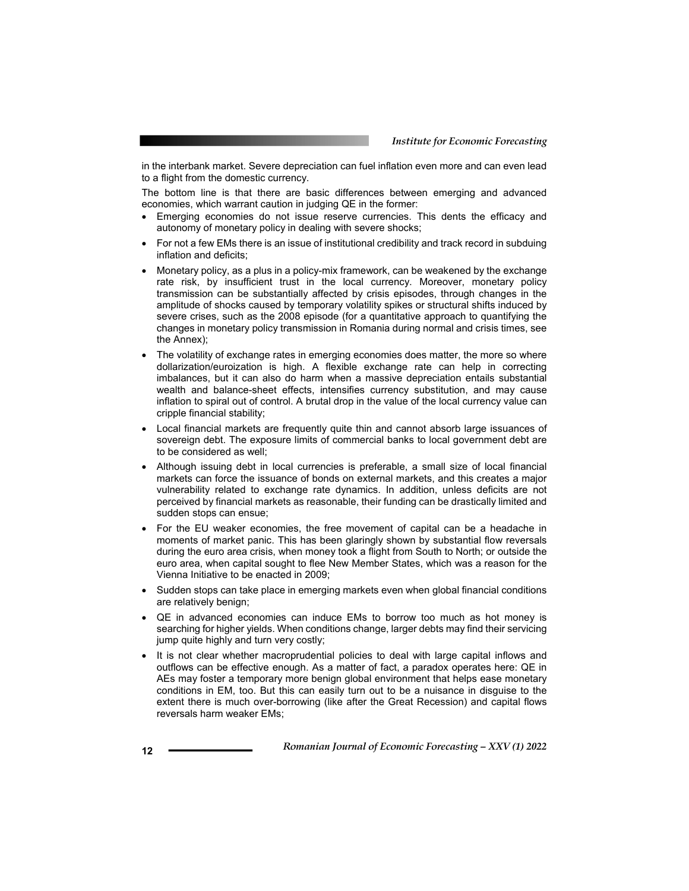in the interbank market. Severe depreciation can fuel inflation even more and can even lead to a flight from the domestic currency.

The bottom line is that there are basic differences between emerging and advanced economies, which warrant caution in judging QE in the former:

- Emerging economies do not issue reserve currencies. This dents the efficacy and autonomy of monetary policy in dealing with severe shocks;
- For not a few EMs there is an issue of institutional credibility and track record in subduing inflation and deficits;
- Monetary policy, as a plus in a policy-mix framework, can be weakened by the exchange rate risk, by insufficient trust in the local currency. Moreover, monetary policy transmission can be substantially affected by crisis episodes, through changes in the amplitude of shocks caused by temporary volatility spikes or structural shifts induced by severe crises, such as the 2008 episode (for a quantitative approach to quantifying the changes in monetary policy transmission in Romania during normal and crisis times, see the Annex);
- The volatility of exchange rates in emerging economies does matter, the more so where dollarization/euroization is high. A flexible exchange rate can help in correcting imbalances, but it can also do harm when a massive depreciation entails substantial wealth and balance-sheet effects, intensifies currency substitution, and may cause inflation to spiral out of control. A brutal drop in the value of the local currency value can cripple financial stability;
- Local financial markets are frequently quite thin and cannot absorb large issuances of sovereign debt. The exposure limits of commercial banks to local government debt are to be considered as well;
- Although issuing debt in local currencies is preferable, a small size of local financial markets can force the issuance of bonds on external markets, and this creates a major vulnerability related to exchange rate dynamics. In addition, unless deficits are not perceived by financial markets as reasonable, their funding can be drastically limited and sudden stops can ensue;
- For the EU weaker economies, the free movement of capital can be a headache in moments of market panic. This has been glaringly shown by substantial flow reversals during the euro area crisis, when money took a flight from South to North; or outside the euro area, when capital sought to flee New Member States, which was a reason for the Vienna Initiative to be enacted in 2009;
- Sudden stops can take place in emerging markets even when global financial conditions are relatively benign;
- QE in advanced economies can induce EMs to borrow too much as hot money is searching for higher yields. When conditions change, larger debts may find their servicing jump quite highly and turn very costly;
- It is not clear whether macroprudential policies to deal with large capital inflows and outflows can be effective enough. As a matter of fact, a paradox operates here: QE in AEs may foster a temporary more benign global environment that helps ease monetary conditions in EM, too. But this can easily turn out to be a nuisance in disguise to the extent there is much over-borrowing (like after the Great Recession) and capital flows reversals harm weaker EMs;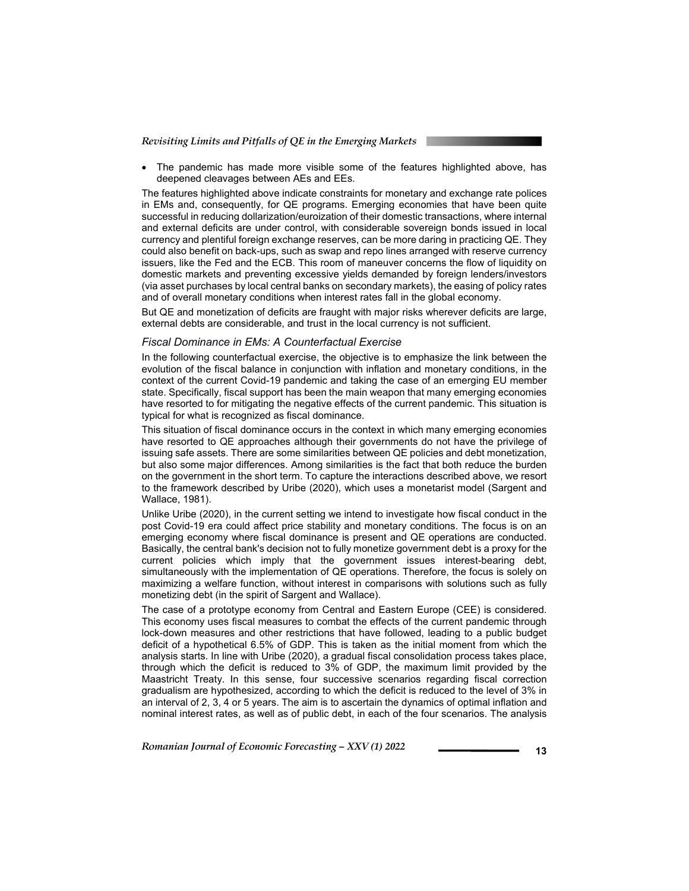The pandemic has made more visible some of the features highlighted above, has deepened cleavages between AEs and EEs.

The features highlighted above indicate constraints for monetary and exchange rate polices in EMs and, consequently, for QE programs. Emerging economies that have been quite successful in reducing dollarization/euroization of their domestic transactions, where internal and external deficits are under control, with considerable sovereign bonds issued in local currency and plentiful foreign exchange reserves, can be more daring in practicing QE. They could also benefit on back-ups, such as swap and repo lines arranged with reserve currency issuers, like the Fed and the ECB. This room of maneuver concerns the flow of liquidity on domestic markets and preventing excessive yields demanded by foreign lenders/investors (via asset purchases by local central banks on secondary markets), the easing of policy rates and of overall monetary conditions when interest rates fall in the global economy.

But QE and monetization of deficits are fraught with major risks wherever deficits are large, external debts are considerable, and trust in the local currency is not sufficient.

#### *Fiscal Dominance in EMs: A Counterfactual Exercise*

In the following counterfactual exercise, the objective is to emphasize the link between the evolution of the fiscal balance in conjunction with inflation and monetary conditions, in the context of the current Covid-19 pandemic and taking the case of an emerging EU member state. Specifically, fiscal support has been the main weapon that many emerging economies have resorted to for mitigating the negative effects of the current pandemic. This situation is typical for what is recognized as fiscal dominance.

This situation of fiscal dominance occurs in the context in which many emerging economies have resorted to QE approaches although their governments do not have the privilege of issuing safe assets. There are some similarities between QE policies and debt monetization, but also some major differences. Among similarities is the fact that both reduce the burden on the government in the short term. To capture the interactions described above, we resort to the framework described by Uribe (2020), which uses a monetarist model (Sargent and Wallace, 1981).

Unlike Uribe (2020), in the current setting we intend to investigate how fiscal conduct in the post Covid-19 era could affect price stability and monetary conditions. The focus is on an emerging economy where fiscal dominance is present and QE operations are conducted. Basically, the central bank's decision not to fully monetize government debt is a proxy for the current policies which imply that the government issues interest-bearing debt, simultaneously with the implementation of QE operations. Therefore, the focus is solely on maximizing a welfare function, without interest in comparisons with solutions such as fully monetizing debt (in the spirit of Sargent and Wallace).

The case of a prototype economy from Central and Eastern Europe (CEE) is considered. This economy uses fiscal measures to combat the effects of the current pandemic through lock-down measures and other restrictions that have followed, leading to a public budget deficit of a hypothetical 6.5% of GDP. This is taken as the initial moment from which the analysis starts. In line with Uribe (2020), a gradual fiscal consolidation process takes place, through which the deficit is reduced to 3% of GDP, the maximum limit provided by the Maastricht Treaty. In this sense, four successive scenarios regarding fiscal correction gradualism are hypothesized, according to which the deficit is reduced to the level of 3% in an interval of 2, 3, 4 or 5 years. The aim is to ascertain the dynamics of optimal inflation and nominal interest rates, as well as of public debt, in each of the four scenarios. The analysis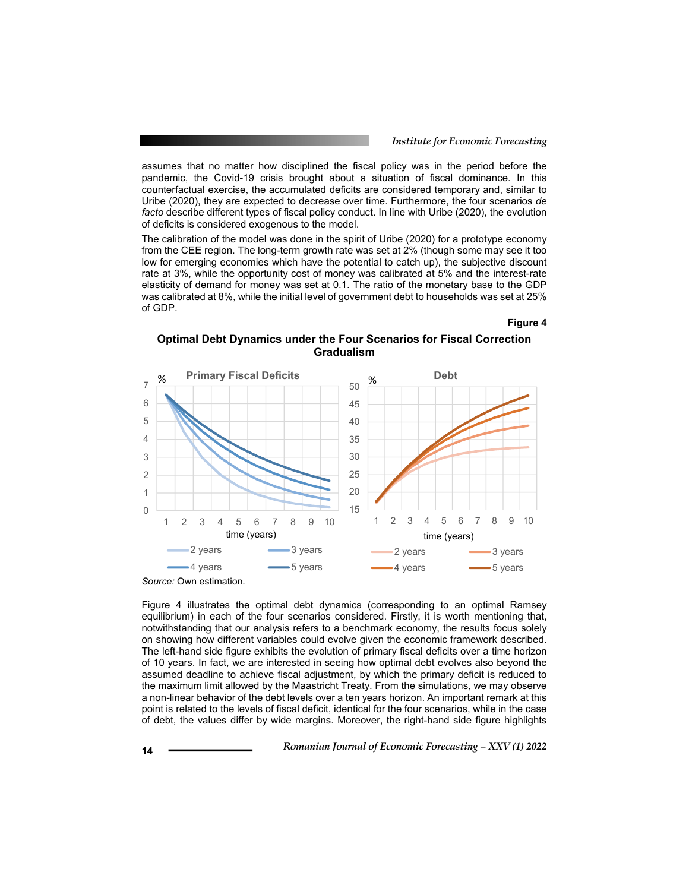assumes that no matter how disciplined the fiscal policy was in the period before the pandemic, the Covid-19 crisis brought about a situation of fiscal dominance. In this counterfactual exercise, the accumulated deficits are considered temporary and, similar to Uribe (2020), they are expected to decrease over time. Furthermore, the four scenarios *de facto* describe different types of fiscal policy conduct. In line with Uribe (2020), the evolution of deficits is considered exogenous to the model.

The calibration of the model was done in the spirit of Uribe (2020) for a prototype economy from the CEE region. The long-term growth rate was set at 2% (though some may see it too low for emerging economies which have the potential to catch up), the subjective discount rate at 3%, while the opportunity cost of money was calibrated at 5% and the interest-rate elasticity of demand for money was set at 0.1. The ratio of the monetary base to the GDP was calibrated at 8%, while the initial level of government debt to households was set at 25% of GDP.

#### **Figure 4**

**Optimal Debt Dynamics under the Four Scenarios for Fiscal Correction Gradualism** 



Figure 4 illustrates the optimal debt dynamics (corresponding to an optimal Ramsey equilibrium) in each of the four scenarios considered. Firstly, it is worth mentioning that, notwithstanding that our analysis refers to a benchmark economy, the results focus solely on showing how different variables could evolve given the economic framework described. The left-hand side figure exhibits the evolution of primary fiscal deficits over a time horizon of 10 years. In fact, we are interested in seeing how optimal debt evolves also beyond the assumed deadline to achieve fiscal adjustment, by which the primary deficit is reduced to the maximum limit allowed by the Maastricht Treaty. From the simulations, we may observe a non-linear behavior of the debt levels over a ten years horizon. An important remark at this point is related to the levels of fiscal deficit, identical for the four scenarios, while in the case of debt, the values differ by wide margins. Moreover, the right-hand side figure highlights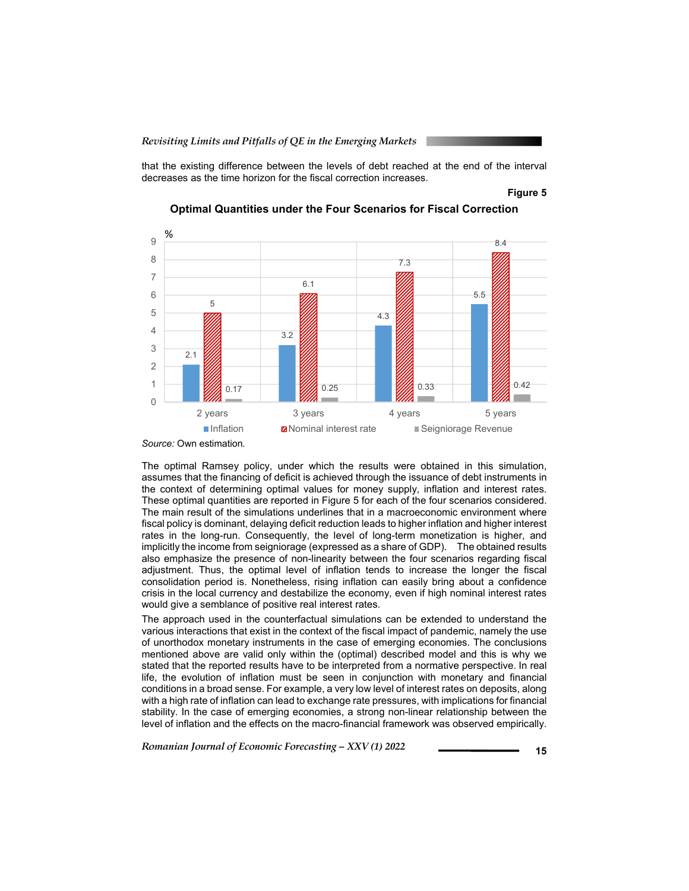that the existing difference between the levels of debt reached at the end of the interval decreases as the time horizon for the fiscal correction increases.

#### **Figure 5**



**Optimal Quantities under the Four Scenarios for Fiscal Correction** 

The optimal Ramsey policy, under which the results were obtained in this simulation, assumes that the financing of deficit is achieved through the issuance of debt instruments in the context of determining optimal values for money supply, inflation and interest rates. These optimal quantities are reported in Figure 5 for each of the four scenarios considered. The main result of the simulations underlines that in a macroeconomic environment where fiscal policy is dominant, delaying deficit reduction leads to higher inflation and higher interest rates in the long-run. Consequently, the level of long-term monetization is higher, and implicitly the income from seigniorage (expressed as a share of GDP). The obtained results also emphasize the presence of non-linearity between the four scenarios regarding fiscal adjustment. Thus, the optimal level of inflation tends to increase the longer the fiscal consolidation period is. Nonetheless, rising inflation can easily bring about a confidence crisis in the local currency and destabilize the economy, even if high nominal interest rates would give a semblance of positive real interest rates.

The approach used in the counterfactual simulations can be extended to understand the various interactions that exist in the context of the fiscal impact of pandemic, namely the use of unorthodox monetary instruments in the case of emerging economies. The conclusions mentioned above are valid only within the (optimal) described model and this is why we stated that the reported results have to be interpreted from a normative perspective. In real life, the evolution of inflation must be seen in conjunction with monetary and financial conditions in a broad sense. For example, a very low level of interest rates on deposits, along with a high rate of inflation can lead to exchange rate pressures, with implications for financial stability. In the case of emerging economies, a strong non-linear relationship between the level of inflation and the effects on the macro-financial framework was observed empirically.

*Source:* Own estimation*.*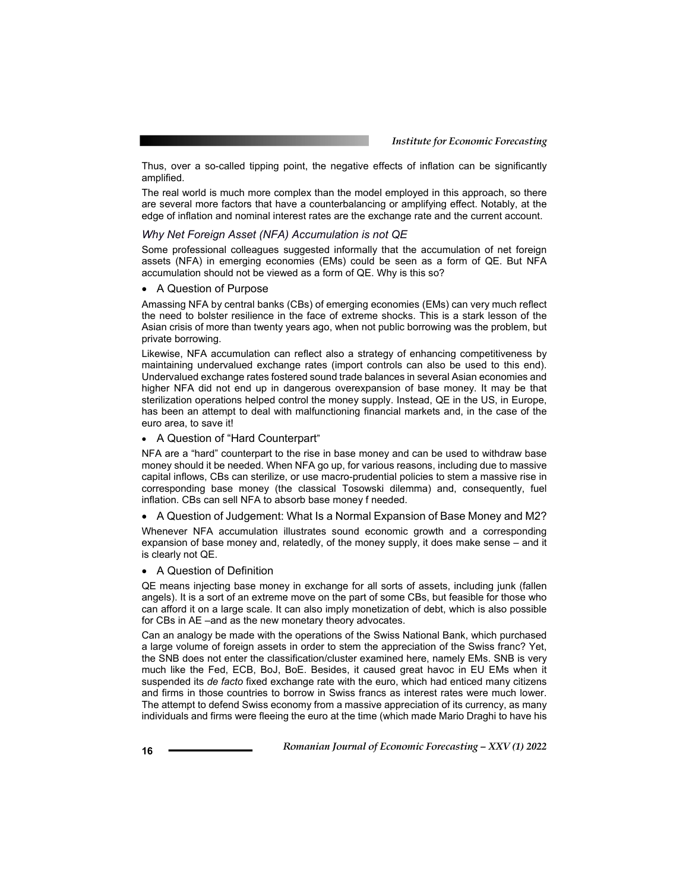Thus, over a so-called tipping point, the negative effects of inflation can be significantly amplified.

The real world is much more complex than the model employed in this approach, so there are several more factors that have a counterbalancing or amplifying effect. Notably, at the edge of inflation and nominal interest rates are the exchange rate and the current account.

#### *Why Net Foreign Asset (NFA) Accumulation is not QE*

Some professional colleagues suggested informally that the accumulation of net foreign assets (NFA) in emerging economies (EMs) could be seen as a form of QE. But NFA accumulation should not be viewed as a form of QE. Why is this so?

• A Question of Purpose

Amassing NFA by central banks (CBs) of emerging economies (EMs) can very much reflect the need to bolster resilience in the face of extreme shocks. This is a stark lesson of the Asian crisis of more than twenty years ago, when not public borrowing was the problem, but private borrowing.

Likewise, NFA accumulation can reflect also a strategy of enhancing competitiveness by maintaining undervalued exchange rates (import controls can also be used to this end). Undervalued exchange rates fostered sound trade balances in several Asian economies and higher NFA did not end up in dangerous overexpansion of base money. It may be that sterilization operations helped control the money supply. Instead, QE in the US, in Europe, has been an attempt to deal with malfunctioning financial markets and, in the case of the euro area, to save it!

A Question of "Hard Counterpart"

NFA are a "hard" counterpart to the rise in base money and can be used to withdraw base money should it be needed. When NFA go up, for various reasons, including due to massive capital inflows, CBs can sterilize, or use macro-prudential policies to stem a massive rise in corresponding base money (the classical Tosowski dilemma) and, consequently, fuel inflation. CBs can sell NFA to absorb base money f needed.

A Question of Judgement: What Is a Normal Expansion of Base Money and M2?

Whenever NFA accumulation illustrates sound economic growth and a corresponding expansion of base money and, relatedly, of the money supply, it does make sense – and it is clearly not QE.

#### A Question of Definition

QE means injecting base money in exchange for all sorts of assets, including junk (fallen angels). It is a sort of an extreme move on the part of some CBs, but feasible for those who can afford it on a large scale. It can also imply monetization of debt, which is also possible for CBs in AE –and as the new monetary theory advocates.

Can an analogy be made with the operations of the Swiss National Bank, which purchased a large volume of foreign assets in order to stem the appreciation of the Swiss franc? Yet, the SNB does not enter the classification/cluster examined here, namely EMs. SNB is very much like the Fed, ECB, BoJ, BoE. Besides, it caused great havoc in EU EMs when it suspended its *de facto* fixed exchange rate with the euro, which had enticed many citizens and firms in those countries to borrow in Swiss francs as interest rates were much lower. The attempt to defend Swiss economy from a massive appreciation of its currency, as many individuals and firms were fleeing the euro at the time (which made Mario Draghi to have his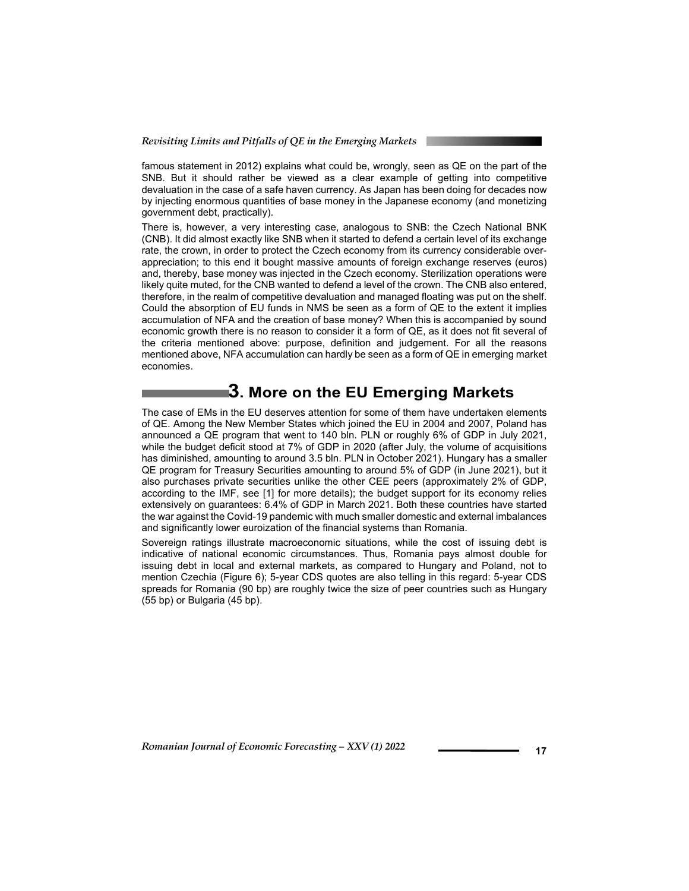famous statement in 2012) explains what could be, wrongly, seen as QE on the part of the SNB. But it should rather be viewed as a clear example of getting into competitive devaluation in the case of a safe haven currency. As Japan has been doing for decades now by injecting enormous quantities of base money in the Japanese economy (and monetizing government debt, practically).

There is, however, a very interesting case, analogous to SNB: the Czech National BNK (CNB). It did almost exactly like SNB when it started to defend a certain level of its exchange rate, the crown, in order to protect the Czech economy from its currency considerable overappreciation; to this end it bought massive amounts of foreign exchange reserves (euros) and, thereby, base money was injected in the Czech economy. Sterilization operations were likely quite muted, for the CNB wanted to defend a level of the crown. The CNB also entered, therefore, in the realm of competitive devaluation and managed floating was put on the shelf. Could the absorption of EU funds in NMS be seen as a form of QE to the extent it implies accumulation of NFA and the creation of base money? When this is accompanied by sound economic growth there is no reason to consider it a form of QE, as it does not fit several of the criteria mentioned above: purpose, definition and judgement. For all the reasons mentioned above, NFA accumulation can hardly be seen as a form of QE in emerging market economies.

# **3. More on the EU Emerging Markets**

The case of EMs in the EU deserves attention for some of them have undertaken elements of QE. Among the New Member States which joined the EU in 2004 and 2007, Poland has announced a QE program that went to 140 bln. PLN or roughly 6% of GDP in July 2021, while the budget deficit stood at 7% of GDP in 2020 (after July, the volume of acquisitions has diminished, amounting to around 3.5 bln. PLN in October 2021). Hungary has a smaller QE program for Treasury Securities amounting to around 5% of GDP (in June 2021), but it also purchases private securities unlike the other CEE peers (approximately 2% of GDP, according to the IMF, see [1] for more details); the budget support for its economy relies extensively on guarantees: 6.4% of GDP in March 2021. Both these countries have started the war against the Covid-19 pandemic with much smaller domestic and external imbalances and significantly lower euroization of the financial systems than Romania.

Sovereign ratings illustrate macroeconomic situations, while the cost of issuing debt is indicative of national economic circumstances. Thus, Romania pays almost double for issuing debt in local and external markets, as compared to Hungary and Poland, not to mention Czechia (Figure 6); 5-year CDS quotes are also telling in this regard: 5-year CDS spreads for Romania (90 bp) are roughly twice the size of peer countries such as Hungary (55 bp) or Bulgaria (45 bp).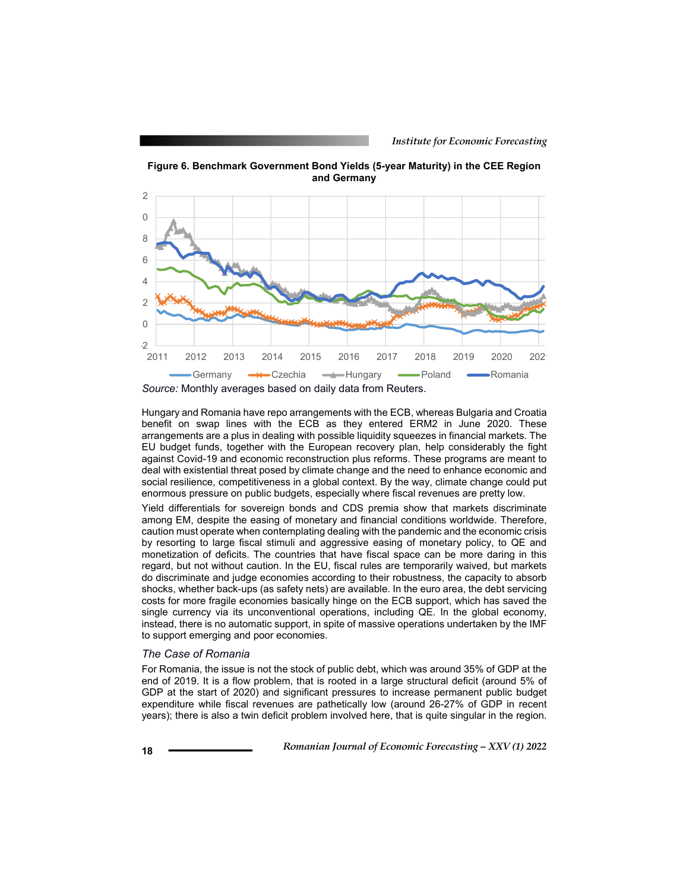

**Figure 6. Benchmark Government Bond Yields (5-year Maturity) in the CEE Region and Germany**

Hungary and Romania have repo arrangements with the ECB, whereas Bulgaria and Croatia benefit on swap lines with the ECB as they entered ERM2 in June 2020. These arrangements are a plus in dealing with possible liquidity squeezes in financial markets. The EU budget funds, together with the European recovery plan, help considerably the fight against Covid-19 and economic reconstruction plus reforms. These programs are meant to deal with existential threat posed by climate change and the need to enhance economic and social resilience, competitiveness in a global context. By the way, climate change could put enormous pressure on public budgets, especially where fiscal revenues are pretty low.

Yield differentials for sovereign bonds and CDS premia show that markets discriminate among EM, despite the easing of monetary and financial conditions worldwide. Therefore, caution must operate when contemplating dealing with the pandemic and the economic crisis by resorting to large fiscal stimuli and aggressive easing of monetary policy, to QE and monetization of deficits. The countries that have fiscal space can be more daring in this regard, but not without caution. In the EU, fiscal rules are temporarily waived, but markets do discriminate and judge economies according to their robustness, the capacity to absorb shocks, whether back-ups (as safety nets) are available. In the euro area, the debt servicing costs for more fragile economies basically hinge on the ECB support, which has saved the single currency via its unconventional operations, including QE. In the global economy, instead, there is no automatic support, in spite of massive operations undertaken by the IMF to support emerging and poor economies.

#### *The Case of Romania*

For Romania, the issue is not the stock of public debt, which was around 35% of GDP at the end of 2019. It is a flow problem, that is rooted in a large structural deficit (around 5% of GDP at the start of 2020) and significant pressures to increase permanent public budget expenditure while fiscal revenues are pathetically low (around 26-27% of GDP in recent years); there is also a twin deficit problem involved here, that is quite singular in the region.

*Source:* Monthly averages based on daily data from Reuters.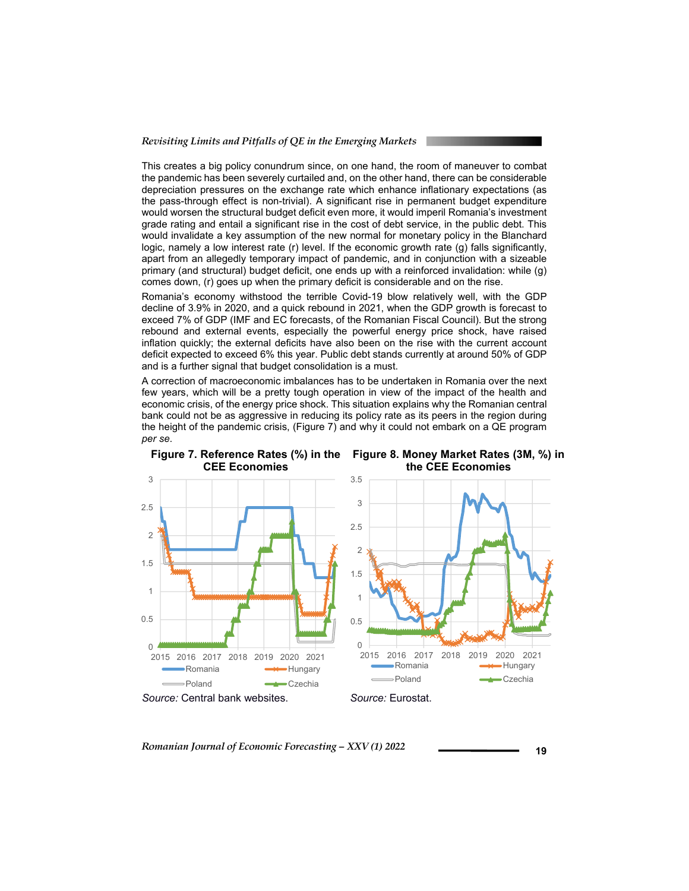This creates a big policy conundrum since, on one hand, the room of maneuver to combat the pandemic has been severely curtailed and, on the other hand, there can be considerable depreciation pressures on the exchange rate which enhance inflationary expectations (as the pass-through effect is non-trivial). A significant rise in permanent budget expenditure would worsen the structural budget deficit even more, it would imperil Romania's investment grade rating and entail a significant rise in the cost of debt service, in the public debt. This would invalidate a key assumption of the new normal for monetary policy in the Blanchard logic, namely a low interest rate (r) level. If the economic growth rate (g) falls significantly, apart from an allegedly temporary impact of pandemic, and in conjunction with a sizeable primary (and structural) budget deficit, one ends up with a reinforced invalidation: while (g) comes down, (r) goes up when the primary deficit is considerable and on the rise.

Romania's economy withstood the terrible Covid-19 blow relatively well, with the GDP decline of 3.9% in 2020, and a quick rebound in 2021, when the GDP growth is forecast to exceed 7% of GDP (IMF and EC forecasts, of the Romanian Fiscal Council). But the strong rebound and external events, especially the powerful energy price shock, have raised inflation quickly; the external deficits have also been on the rise with the current account deficit expected to exceed 6% this year. Public debt stands currently at around 50% of GDP and is a further signal that budget consolidation is a must.

A correction of macroeconomic imbalances has to be undertaken in Romania over the next few years, which will be a pretty tough operation in view of the impact of the health and economic crisis, of the energy price shock. This situation explains why the Romanian central bank could not be as aggressive in reducing its policy rate as its peers in the region during the height of the pandemic crisis, (Figure 7) and why it could not embark on a QE program *per se*.

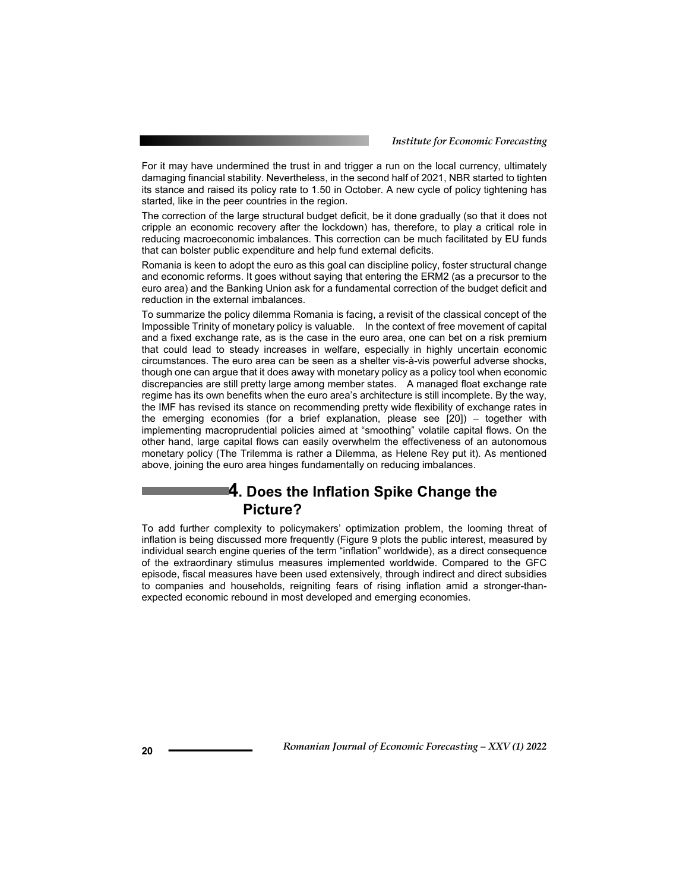For it may have undermined the trust in and trigger a run on the local currency, ultimately damaging financial stability. Nevertheless, in the second half of 2021, NBR started to tighten its stance and raised its policy rate to 1.50 in October. A new cycle of policy tightening has started, like in the peer countries in the region.

The correction of the large structural budget deficit, be it done gradually (so that it does not cripple an economic recovery after the lockdown) has, therefore, to play a critical role in reducing macroeconomic imbalances. This correction can be much facilitated by EU funds that can bolster public expenditure and help fund external deficits.

Romania is keen to adopt the euro as this goal can discipline policy, foster structural change and economic reforms. It goes without saying that entering the ERM2 (as a precursor to the euro area) and the Banking Union ask for a fundamental correction of the budget deficit and reduction in the external imbalances.

To summarize the policy dilemma Romania is facing, a revisit of the classical concept of the Impossible Trinity of monetary policy is valuable. In the context of free movement of capital and a fixed exchange rate, as is the case in the euro area, one can bet on a risk premium that could lead to steady increases in welfare, especially in highly uncertain economic circumstances. The euro area can be seen as a shelter vis-à-vis powerful adverse shocks, though one can argue that it does away with monetary policy as a policy tool when economic discrepancies are still pretty large among member states. A managed float exchange rate regime has its own benefits when the euro area's architecture is still incomplete. By the way, the IMF has revised its stance on recommending pretty wide flexibility of exchange rates in the emerging economies (for a brief explanation, please see [20]) – together with implementing macroprudential policies aimed at "smoothing" volatile capital flows. On the other hand, large capital flows can easily overwhelm the effectiveness of an autonomous monetary policy (The Trilemma is rather a Dilemma, as Helene Rey put it). As mentioned above, joining the euro area hinges fundamentally on reducing imbalances.

### **4. Does the Inflation Spike Change the Picture?**

To add further complexity to policymakers' optimization problem, the looming threat of inflation is being discussed more frequently (Figure 9 plots the public interest, measured by individual search engine queries of the term "inflation" worldwide), as a direct consequence of the extraordinary stimulus measures implemented worldwide. Compared to the GFC episode, fiscal measures have been used extensively, through indirect and direct subsidies to companies and households, reigniting fears of rising inflation amid a stronger-thanexpected economic rebound in most developed and emerging economies.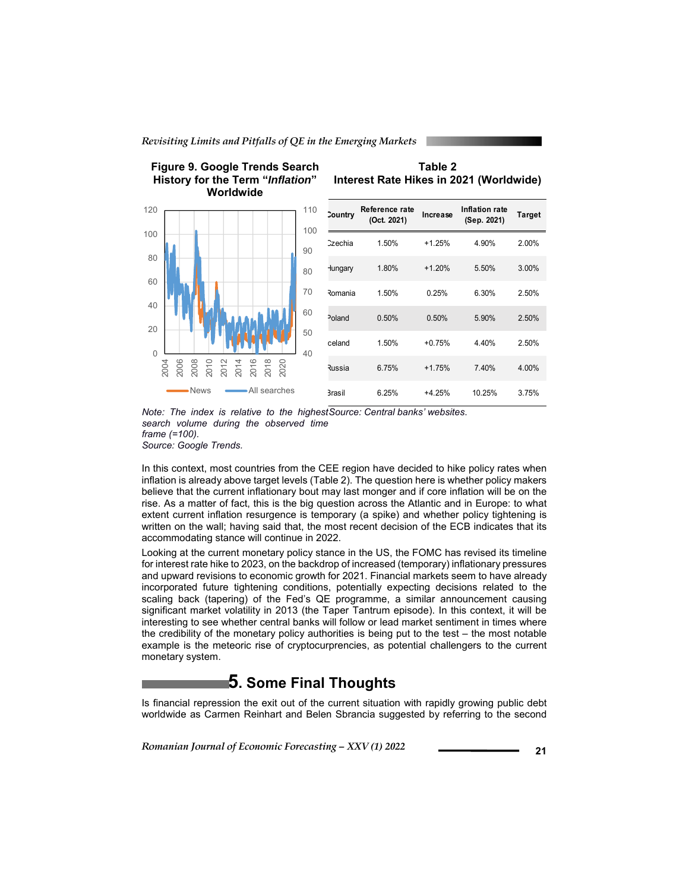



**Figure 9. Google Trends Search** 

#### **Table 2 Interest Rate Hikes in 2021 (Worldwide)**

|    | 110<br>100 | <b>Country</b>     | Reference rate<br>(Oct. 2021) | Increase | Inflation rate<br>(Sep. 2021) | Target |
|----|------------|--------------------|-------------------------------|----------|-------------------------------|--------|
|    | 90         | Czechia            | 1.50%                         | $+1.25%$ | 4.90%                         | 2.00%  |
|    | 80         | Hungary            | 1.80%                         | $+1.20%$ | 5.50%                         | 3.00%  |
|    | 70         | Romania            | 1.50%                         | 0.25%    | 6.30%                         | 2.50%  |
|    | 60         | <sup>2</sup> oland | 0.50%                         | 0.50%    | 5.90%                         | 2.50%  |
|    | 50<br>40   | celand             | 1.50%                         | $+0.75%$ | 4.40%                         | 2.50%  |
|    |            | <b>Russia</b>      | 6.75%                         | $+1.75%$ | 7.40%                         | 4.00%  |
| :S |            | <b>Brasil</b>      | 6.25%                         | $+4.25%$ | 10.25%                        | 3.75%  |

*Note: The index is relative to the highest Source: Central banks' websites*. *search volume during the observed time frame (=100). Source: Google Trends.* 

In this context, most countries from the CEE region have decided to hike policy rates when inflation is already above target levels (Table 2). The question here is whether policy makers believe that the current inflationary bout may last monger and if core inflation will be on the rise. As a matter of fact, this is the big question across the Atlantic and in Europe: to what extent current inflation resurgence is temporary (a spike) and whether policy tightening is written on the wall; having said that, the most recent decision of the ECB indicates that its accommodating stance will continue in 2022.

Looking at the current monetary policy stance in the US, the FOMC has revised its timeline for interest rate hike to 2023, on the backdrop of increased (temporary) inflationary pressures and upward revisions to economic growth for 2021. Financial markets seem to have already incorporated future tightening conditions, potentially expecting decisions related to the scaling back (tapering) of the Fed's QE programme, a similar announcement causing significant market volatility in 2013 (the Taper Tantrum episode). In this context, it will be interesting to see whether central banks will follow or lead market sentiment in times where the credibility of the monetary policy authorities is being put to the test – the most notable example is the meteoric rise of cryptocurprencies, as potential challengers to the current monetary system.

### **5. Some Final Thoughts**

Is financial repression the exit out of the current situation with rapidly growing public debt worldwide as Carmen Reinhart and Belen Sbrancia suggested by referring to the second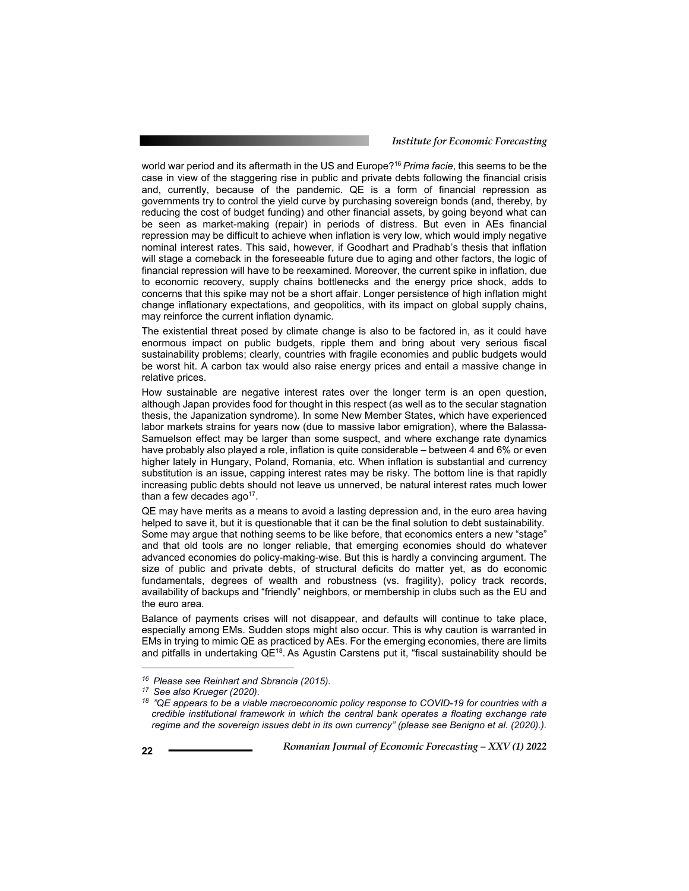#### *Institute for Economic Forecasting*

world war period and its aftermath in the US and Europe?16 *Prima facie*, this seems to be the case in view of the staggering rise in public and private debts following the financial crisis and, currently, because of the pandemic. QE is a form of financial repression as governments try to control the yield curve by purchasing sovereign bonds (and, thereby, by reducing the cost of budget funding) and other financial assets, by going beyond what can be seen as market-making (repair) in periods of distress. But even in AEs financial repression may be difficult to achieve when inflation is very low, which would imply negative nominal interest rates. This said, however, if Goodhart and Pradhab's thesis that inflation will stage a comeback in the foreseeable future due to aging and other factors, the logic of financial repression will have to be reexamined. Moreover, the current spike in inflation, due to economic recovery, supply chains bottlenecks and the energy price shock, adds to concerns that this spike may not be a short affair. Longer persistence of high inflation might change inflationary expectations, and geopolitics, with its impact on global supply chains, may reinforce the current inflation dynamic.

The existential threat posed by climate change is also to be factored in, as it could have enormous impact on public budgets, ripple them and bring about very serious fiscal sustainability problems; clearly, countries with fragile economies and public budgets would be worst hit. A carbon tax would also raise energy prices and entail a massive change in relative prices.

How sustainable are negative interest rates over the longer term is an open question, although Japan provides food for thought in this respect (as well as to the secular stagnation thesis, the Japanization syndrome). In some New Member States, which have experienced labor markets strains for years now (due to massive labor emigration), where the Balassa-Samuelson effect may be larger than some suspect, and where exchange rate dynamics have probably also played a role, inflation is quite considerable – between 4 and 6% or even higher lately in Hungary, Poland, Romania, etc. When inflation is substantial and currency substitution is an issue, capping interest rates may be risky. The bottom line is that rapidly increasing public debts should not leave us unnerved, be natural interest rates much lower than a few decades  $aqo<sup>17</sup>$ .

QE may have merits as a means to avoid a lasting depression and, in the euro area having helped to save it, but it is questionable that it can be the final solution to debt sustainability. Some may argue that nothing seems to be like before, that economics enters a new "stage" and that old tools are no longer reliable, that emerging economies should do whatever advanced economies do policy-making-wise. But this is hardly a convincing argument. The size of public and private debts, of structural deficits do matter yet, as do economic fundamentals, degrees of wealth and robustness (vs. fragility), policy track records, availability of backups and "friendly" neighbors, or membership in clubs such as the EU and the euro area.

Balance of payments crises will not disappear, and defaults will continue to take place, especially among EMs. Sudden stops might also occur. This is why caution is warranted in EMs in trying to mimic QE as practiced by AEs. For the emerging economies, there are limits and pitfalls in undertaking QE<sup>18</sup>. As Agustin Carstens put it, "fiscal sustainability should be

l

*<sup>16</sup> Please see Reinhart and Sbrancia (2015). 17 See also Krueger (2020). 18 "QE appears to be a viable macroeconomic policy response to COVID-19 for countries with a credible institutional framework in which the central bank operates a floating exchange rate regime and the sovereign issues debt in its own currency" (please see Benigno et al. (2020).).*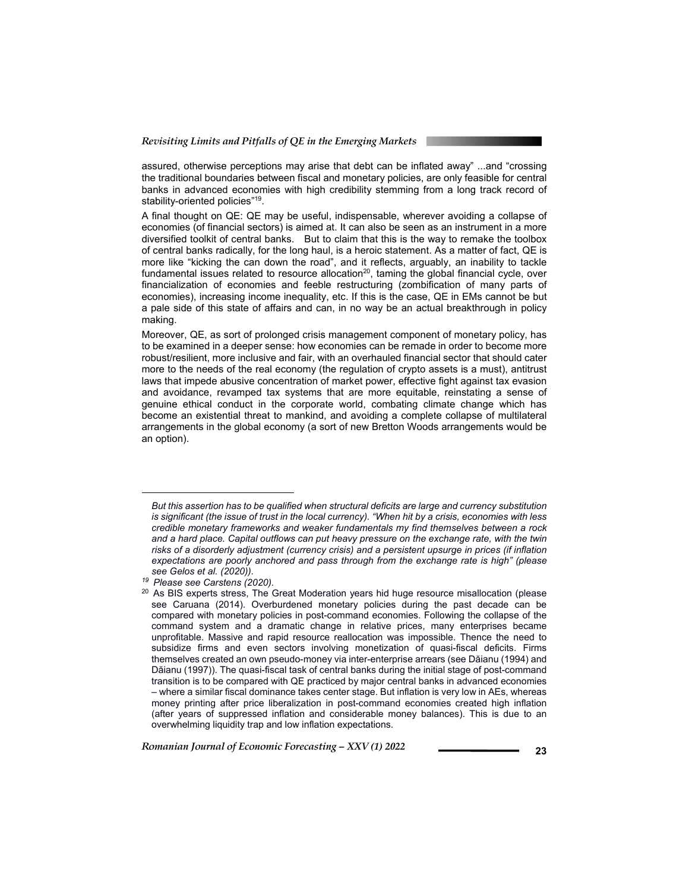assured, otherwise perceptions may arise that debt can be inflated away" ...and "crossing the traditional boundaries between fiscal and monetary policies, are only feasible for central banks in advanced economies with high credibility stemming from a long track record of stability-oriented policies"<sup>19</sup>.

A final thought on QE: QE may be useful, indispensable, wherever avoiding a collapse of economies (of financial sectors) is aimed at. It can also be seen as an instrument in a more diversified toolkit of central banks. But to claim that this is the way to remake the toolbox of central banks radically, for the long haul, is a heroic statement. As a matter of fact, QE is more like "kicking the can down the road", and it reflects, arguably, an inability to tackle fundamental issues related to resource allocation<sup>20</sup>, taming the global financial cycle, over financialization of economies and feeble restructuring (zombification of many parts of economies), increasing income inequality, etc. If this is the case, QE in EMs cannot be but a pale side of this state of affairs and can, in no way be an actual breakthrough in policy making.

Moreover, QE, as sort of prolonged crisis management component of monetary policy, has to be examined in a deeper sense: how economies can be remade in order to become more robust/resilient, more inclusive and fair, with an overhauled financial sector that should cater more to the needs of the real economy (the regulation of crypto assets is a must), antitrust laws that impede abusive concentration of market power, effective fight against tax evasion and avoidance, revamped tax systems that are more equitable, reinstating a sense of genuine ethical conduct in the corporate world, combating climate change which has become an existential threat to mankind, and avoiding a complete collapse of multilateral arrangements in the global economy (a sort of new Bretton Woods arrangements would be an option).

 $\overline{a}$ 

*But this assertion has to be qualified when structural deficits are large and currency substitution is significant (the issue of trust in the local currency). "When hit by a crisis, economies with less credible monetary frameworks and weaker fundamentals my find themselves between a rock and a hard place. Capital outflows can put heavy pressure on the exchange rate, with the twin risks of a disorderly adjustment (currency crisis) and a persistent upsurge in prices (if inflation expectations are poorly anchored and pass through from the exchange rate is high" (please* 

*see Gelos et al. (2020)). 19 Please see Carstens (2020).* 

<sup>&</sup>lt;sup>20</sup> As BIS experts stress, The Great Moderation years hid huge resource misallocation (please see Caruana (2014). Overburdened monetary policies during the past decade can be compared with monetary policies in post-command economies. Following the collapse of the command system and a dramatic change in relative prices, many enterprises became unprofitable. Massive and rapid resource reallocation was impossible. Thence the need to subsidize firms and even sectors involving monetization of quasi-fiscal deficits. Firms themselves created an own pseudo-money via inter-enterprise arrears (see Dăianu (1994) and Dăianu (1997)). The quasi-fiscal task of central banks during the initial stage of post-command transition is to be compared with QE practiced by major central banks in advanced economies – where a similar fiscal dominance takes center stage. But inflation is very low in AEs, whereas money printing after price liberalization in post-command economies created high inflation (after years of suppressed inflation and considerable money balances). This is due to an overwhelming liquidity trap and low inflation expectations.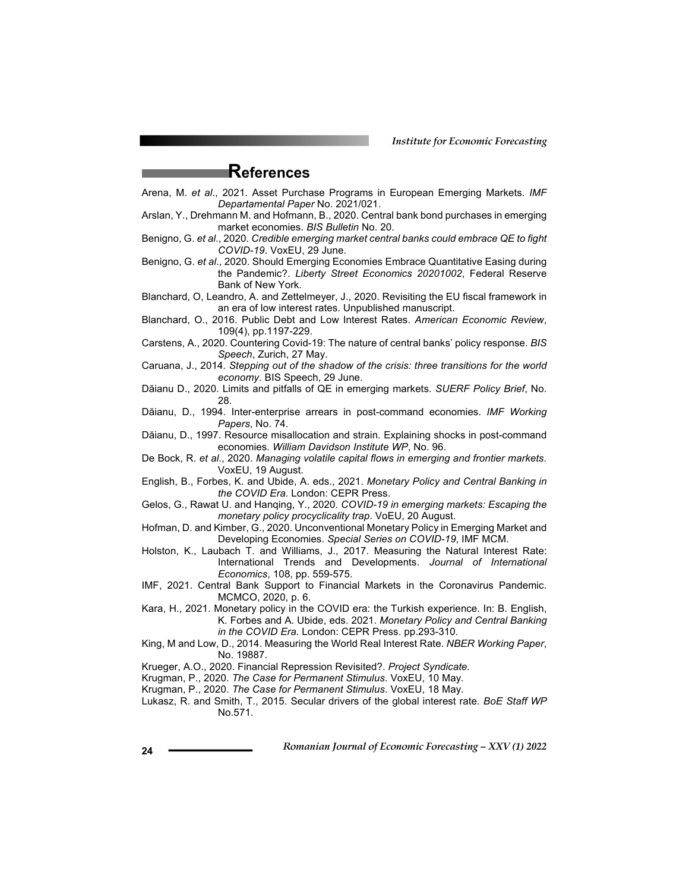*Institute for Economic Forecasting*

### **References**

- Arena, M. *et al*., 2021. Asset Purchase Programs in European Emerging Markets. *IMF Departamental Paper* No. 2021/021.
- Arslan, Y., Drehmann M. and Hofmann, B., 2020. Central bank bond purchases in emerging market economies. *BIS Bulletin* No. 20.
- Benigno, G. *et al*., 2020. *Credible emerging market central banks could embrace QE to fight COVID-19*. VoxEU, 29 June.
- Benigno, G. *et al*., 2020. Should Emerging Economies Embrace Quantitative Easing during the Pandemic?. *Liberty Street Economics 20201002*, Federal Reserve Bank of New York.
- Blanchard, O, Leandro, A. and Zettelmeyer, J., 2020. Revisiting the EU fiscal framework in an era of low interest rates. Unpublished manuscript.
- Blanchard, O., 2016. Public Debt and Low Interest Rates. *American Economic Review*, 109(4), pp.1197-229.
- Carstens, A., 2020. Countering Covid-19: The nature of central banks' policy response. *BIS Speech*, Zurich, 27 May.
- Caruana, J., 2014. *Stepping out of the shadow of the crisis: three transitions for the world economy*. BIS Speech, 29 June.
- Dăianu D., 2020. Limits and pitfalls of QE in emerging markets. *SUERF Policy Brief*, No. 28.
- Dăianu, D., 1994. Inter-enterprise arrears in post-command economies. *IMF Working Papers*, No. 74.
- Dăianu, D., 1997. Resource misallocation and strain. Explaining shocks in post-command economies. *William Davidson Institute WP*, No. 96.
- De Bock, R. *et al*., 2020. *Managing volatile capital flows in emerging and frontier markets.* VoxEU, 19 August.
- English, B., Forbes, K. and Ubide, A. eds., 2021. *Monetary Policy and Central Banking in the COVID Era.* London: CEPR Press.
- Gelos, G., Rawat U. and Hanqing, Y., 2020. *COVID-19 in emerging markets: Escaping the monetary policy procyclicality trap*. VoEU, 20 August.
- Hofman, D. and Kimber, G., 2020. Unconventional Monetary Policy in Emerging Market and Developing Economies. *Special Series on COVID-19*, IMF MCM.
- Holston, K., Laubach T. and Williams, J., 2017. Measuring the Natural Interest Rate: International Trends and Developments. *Journal of International Economics*, 108, pp. 559-575.
- IMF, 2021. Central Bank Support to Financial Markets in the Coronavirus Pandemic. MCMCO, 2020, p. 6.
- Kara, H., 2021. Monetary policy in the COVID era: the Turkish experience. In: B. English, K. Forbes and A. Ubide, eds. 2021. *Monetary Policy and Central Banking in the COVID Era.* London: CEPR Press. pp.293-310.
- King, M and Low, D., 2014. Measuring the World Real Interest Rate. *NBER Working Paper*, No. 19887.
- Krueger, A.O., 2020. Financial Repression Revisited?. *Project Syndicate.*
- Krugman, P., 2020. *The Case for Permanent Stimulus*. VoxEU, 10 May.
- Krugman, P., 2020. *The Case for Permanent Stimulus*. VoxEU, 18 May.
- Lukasz, R. and Smith, T., 2015. Secular drivers of the global interest rate. *BoE Staff WP* No.571.